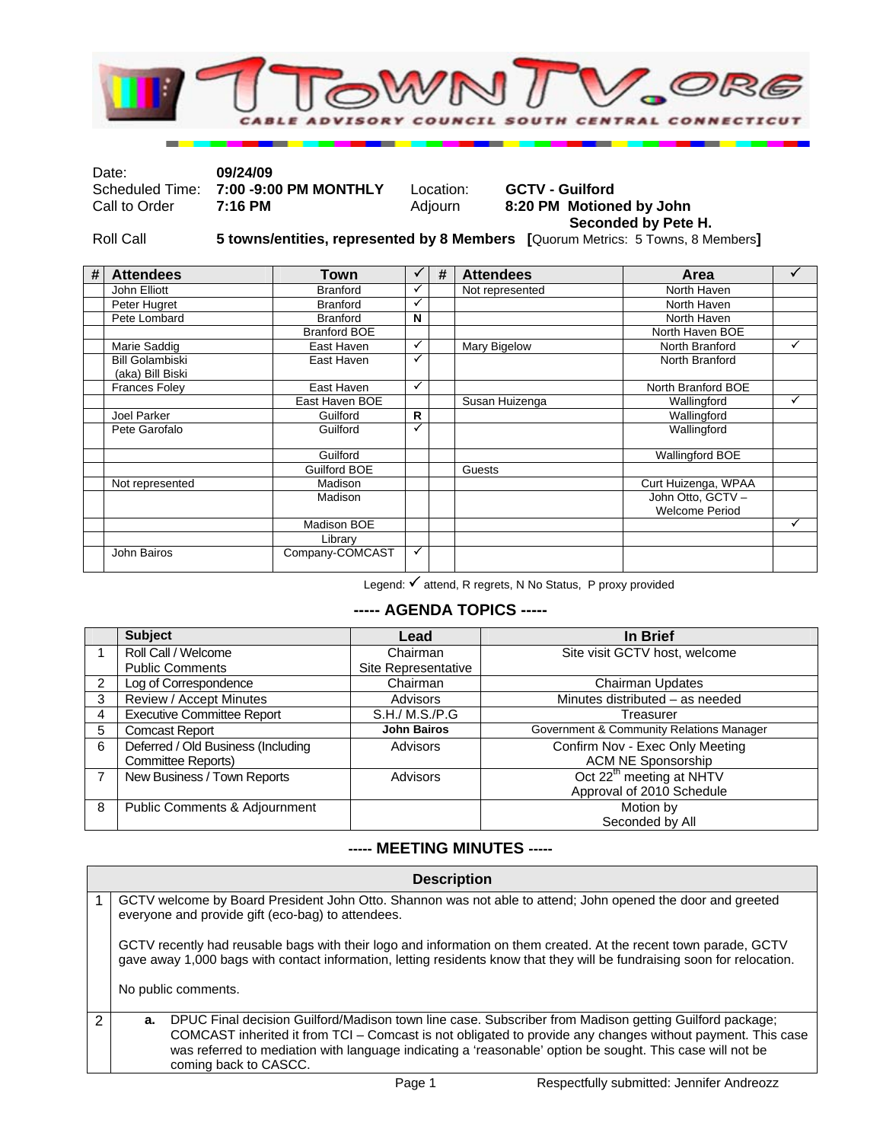

| Date:         | 09/24/09                              |           |                          |
|---------------|---------------------------------------|-----------|--------------------------|
|               | Scheduled Time: 7:00 -9:00 PM MONTHLY | Location: | <b>GCTV - Guilford</b>   |
| Call to Order | 7:16 PM                               | Adiourn   | 8:20 PM Motioned by John |
|               |                                       |           | Seconded by Pete H.      |

Roll Call **5 towns/entities, represented by 8 Members [**Quorum Metrics: 5 Towns, 8 Members**]** 

| # | <b>Attendees</b>                           | Town                |    | # | <b>Attendees</b> | Area                                       |              |
|---|--------------------------------------------|---------------------|----|---|------------------|--------------------------------------------|--------------|
|   | John Elliott                               | <b>Branford</b>     |    |   | Not represented  | North Haven                                |              |
|   | Peter Hugret                               | <b>Branford</b>     | ✓  |   |                  | North Haven                                |              |
|   | Pete Lombard                               | <b>Branford</b>     | N  |   |                  | North Haven                                |              |
|   |                                            | <b>Branford BOE</b> |    |   |                  | North Haven BOE                            |              |
|   | Marie Saddig                               | East Haven          | ✓  |   | Mary Bigelow     | North Branford                             | ✓            |
|   | <b>Bill Golambiski</b><br>(aka) Bill Biski | East Haven          | ✓  |   |                  | North Branford                             |              |
|   | <b>Frances Foley</b>                       | East Haven          | ✓  |   |                  | North Branford BOE                         |              |
|   |                                            | East Haven BOE      |    |   | Susan Huizenga   | Wallingford                                | $\checkmark$ |
|   | Joel Parker                                | Guilford            | R. |   |                  | Wallingford                                |              |
|   | Pete Garofalo                              | Guilford            | ✓  |   |                  | Wallingford                                |              |
|   |                                            | Guilford            |    |   |                  | <b>Wallingford BOE</b>                     |              |
|   |                                            | Guilford BOE        |    |   | Guests           |                                            |              |
|   | Not represented                            | Madison             |    |   |                  | Curt Huizenga, WPAA                        |              |
|   |                                            | Madison             |    |   |                  | John Otto, GCTV -<br><b>Welcome Period</b> |              |
|   |                                            | Madison BOE         |    |   |                  |                                            | ✓            |
|   |                                            | Library             |    |   |                  |                                            |              |
|   | John Bairos                                | Company-COMCAST     | ✓  |   |                  |                                            |              |

Legend:  $\checkmark$  attend, R regrets, N No Status, P proxy provided

## **----- AGENDA TOPICS -----**

|                | <b>Subject</b>                     | Lead                | In Brief                                 |
|----------------|------------------------------------|---------------------|------------------------------------------|
|                | Roll Call / Welcome                | Chairman            | Site visit GCTV host, welcome            |
|                | <b>Public Comments</b>             | Site Representative |                                          |
| $\overline{2}$ | Log of Correspondence              | Chairman            | <b>Chairman Updates</b>                  |
| 3              | Review / Accept Minutes            | Advisors            | Minutes distributed - as needed          |
| 4              | <b>Executive Committee Report</b>  | S.H./ M.S./P.G      | Treasurer                                |
| 5              | <b>Comcast Report</b>              | <b>John Bairos</b>  | Government & Community Relations Manager |
| 6              | Deferred / Old Business (Including | Advisors            | Confirm Nov - Exec Only Meeting          |
|                | Committee Reports)                 |                     | <b>ACM NE Sponsorship</b>                |
|                | New Business / Town Reports        | Advisors            | Oct 22 <sup>th</sup> meeting at NHTV     |
|                |                                    |                     | Approval of 2010 Schedule                |
| 8              | Public Comments & Adjournment      |                     | Motion by                                |
|                |                                    |                     | Seconded by All                          |

#### **----- MEETING MINUTES -----**

|                                                                                                                                                                                                                                              | <b>Description</b>                                                                                                                                                                                                      |  |
|----------------------------------------------------------------------------------------------------------------------------------------------------------------------------------------------------------------------------------------------|-------------------------------------------------------------------------------------------------------------------------------------------------------------------------------------------------------------------------|--|
| GCTV welcome by Board President John Otto. Shannon was not able to attend; John opened the door and greeted<br>everyone and provide gift (eco-bag) to attendees.                                                                             |                                                                                                                                                                                                                         |  |
| GCTV recently had reusable bags with their logo and information on them created. At the recent town parade, GCTV<br>gave away 1,000 bags with contact information, letting residents know that they will be fundraising soon for relocation. |                                                                                                                                                                                                                         |  |
|                                                                                                                                                                                                                                              | No public comments.                                                                                                                                                                                                     |  |
| а.                                                                                                                                                                                                                                           | DPUC Final decision Guilford/Madison town line case. Subscriber from Madison getting Guilford package;                                                                                                                  |  |
|                                                                                                                                                                                                                                              | COMCAST inherited it from TCI - Comcast is not obligated to provide any changes without payment. This case<br>was referred to mediation with language indicating a 'reasonable' option be sought. This case will not be |  |
|                                                                                                                                                                                                                                              | coming back to CASCC.                                                                                                                                                                                                   |  |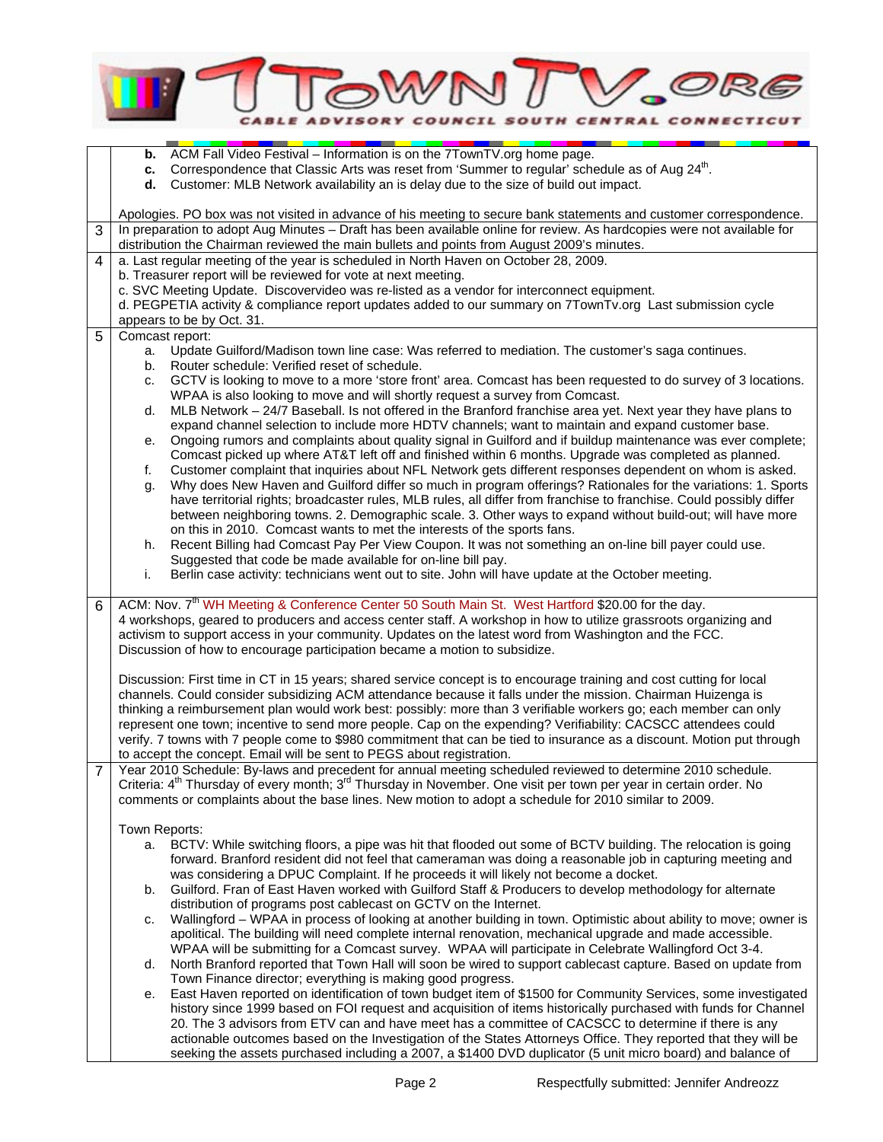|                | <b>CENTRAL CONI</b>                                                                                                                                                                                                                                                                                                                                                                                                                                                                                                                                                                                                                                                                                                                                                                                                                                                                                                                                                                                                                                                                                                                                                                                                                                                                                                                                                                                                                                                                                                                                                                                                                                                                                   |
|----------------|-------------------------------------------------------------------------------------------------------------------------------------------------------------------------------------------------------------------------------------------------------------------------------------------------------------------------------------------------------------------------------------------------------------------------------------------------------------------------------------------------------------------------------------------------------------------------------------------------------------------------------------------------------------------------------------------------------------------------------------------------------------------------------------------------------------------------------------------------------------------------------------------------------------------------------------------------------------------------------------------------------------------------------------------------------------------------------------------------------------------------------------------------------------------------------------------------------------------------------------------------------------------------------------------------------------------------------------------------------------------------------------------------------------------------------------------------------------------------------------------------------------------------------------------------------------------------------------------------------------------------------------------------------------------------------------------------------|
|                | ACM Fall Video Festival - Information is on the 7TownTV.org home page.<br>b.<br>Correspondence that Classic Arts was reset from 'Summer to regular' schedule as of Aug 24 <sup>th</sup> .<br>c.<br>Customer: MLB Network availability an is delay due to the size of build out impact.<br>d.                                                                                                                                                                                                                                                                                                                                                                                                                                                                                                                                                                                                                                                                                                                                                                                                                                                                                                                                                                                                                                                                                                                                                                                                                                                                                                                                                                                                          |
| 3              | Apologies. PO box was not visited in advance of his meeting to secure bank statements and customer correspondence.<br>In preparation to adopt Aug Minutes - Draft has been available online for review. As hardcopies were not available for                                                                                                                                                                                                                                                                                                                                                                                                                                                                                                                                                                                                                                                                                                                                                                                                                                                                                                                                                                                                                                                                                                                                                                                                                                                                                                                                                                                                                                                          |
| 4              | distribution the Chairman reviewed the main bullets and points from August 2009's minutes.<br>a. Last regular meeting of the year is scheduled in North Haven on October 28, 2009.                                                                                                                                                                                                                                                                                                                                                                                                                                                                                                                                                                                                                                                                                                                                                                                                                                                                                                                                                                                                                                                                                                                                                                                                                                                                                                                                                                                                                                                                                                                    |
|                | b. Treasurer report will be reviewed for vote at next meeting.<br>c. SVC Meeting Update. Discovervideo was re-listed as a vendor for interconnect equipment.<br>d. PEGPETIA activity & compliance report updates added to our summary on 7TownTv.org Last submission cycle<br>appears to be by Oct. 31.                                                                                                                                                                                                                                                                                                                                                                                                                                                                                                                                                                                                                                                                                                                                                                                                                                                                                                                                                                                                                                                                                                                                                                                                                                                                                                                                                                                               |
| 5              | Comcast report:<br>Update Guilford/Madison town line case: Was referred to mediation. The customer's saga continues.<br>a.<br>Router schedule: Verified reset of schedule.<br>b.<br>GCTV is looking to move to a more 'store front' area. Comcast has been requested to do survey of 3 locations.<br>c.<br>WPAA is also looking to move and will shortly request a survey from Comcast.<br>MLB Network - 24/7 Baseball. Is not offered in the Branford franchise area yet. Next year they have plans to<br>d.<br>expand channel selection to include more HDTV channels; want to maintain and expand customer base.<br>Ongoing rumors and complaints about quality signal in Guilford and if buildup maintenance was ever complete;<br>е.<br>Comcast picked up where AT&T left off and finished within 6 months. Upgrade was completed as planned.<br>Customer complaint that inquiries about NFL Network gets different responses dependent on whom is asked.<br>f.<br>Why does New Haven and Guilford differ so much in program offerings? Rationales for the variations: 1. Sports<br>g.<br>have territorial rights; broadcaster rules, MLB rules, all differ from franchise to franchise. Could possibly differ<br>between neighboring towns. 2. Demographic scale. 3. Other ways to expand without build-out; will have more<br>on this in 2010. Comcast wants to met the interests of the sports fans.<br>Recent Billing had Comcast Pay Per View Coupon. It was not something an on-line bill payer could use.<br>h.<br>Suggested that code be made available for on-line bill pay.<br>Berlin case activity: technicians went out to site. John will have update at the October meeting.<br>i. |
| 6              | ACM: Nov. 7 <sup>th</sup> WH Meeting & Conference Center 50 South Main St. West Hartford \$20.00 for the day.<br>4 workshops, geared to producers and access center staff. A workshop in how to utilize grassroots organizing and<br>activism to support access in your community. Updates on the latest word from Washington and the FCC.<br>Discussion of how to encourage participation became a motion to subsidize.                                                                                                                                                                                                                                                                                                                                                                                                                                                                                                                                                                                                                                                                                                                                                                                                                                                                                                                                                                                                                                                                                                                                                                                                                                                                              |
|                | Discussion: First time in CT in 15 years; shared service concept is to encourage training and cost cutting for local<br>channels. Could consider subsidizing ACM attendance because it falls under the mission. Chairman Huizenga is<br>thinking a reimbursement plan would work best: possibly: more than 3 verifiable workers go; each member can only<br>represent one town; incentive to send more people. Cap on the expending? Verifiability: CACSCC attendees could<br>verify. 7 towns with 7 people come to \$980 commitment that can be tied to insurance as a discount. Motion put through<br>to accept the concept. Email will be sent to PEGS about registration.                                                                                                                                                                                                                                                                                                                                                                                                                                                                                                                                                                                                                                                                                                                                                                                                                                                                                                                                                                                                                         |
| $\overline{7}$ | Year 2010 Schedule: By-laws and precedent for annual meeting scheduled reviewed to determine 2010 schedule.<br>Criteria: 4 <sup>th</sup> Thursday of every month; 3 <sup>rd</sup> Thursday in November. One visit per town per year in certain order. No<br>comments or complaints about the base lines. New motion to adopt a schedule for 2010 similar to 2009.                                                                                                                                                                                                                                                                                                                                                                                                                                                                                                                                                                                                                                                                                                                                                                                                                                                                                                                                                                                                                                                                                                                                                                                                                                                                                                                                     |
|                | Town Reports:<br>a. BCTV: While switching floors, a pipe was hit that flooded out some of BCTV building. The relocation is going<br>forward. Branford resident did not feel that cameraman was doing a reasonable job in capturing meeting and<br>was considering a DPUC Complaint. If he proceeds it will likely not become a docket.<br>Guilford. Fran of East Haven worked with Guilford Staff & Producers to develop methodology for alternate<br>b.<br>distribution of programs post cablecast on GCTV on the Internet.<br>Wallingford - WPAA in process of looking at another building in town. Optimistic about ability to move; owner is<br>c.<br>apolitical. The building will need complete internal renovation, mechanical upgrade and made accessible.<br>WPAA will be submitting for a Comcast survey. WPAA will participate in Celebrate Wallingford Oct 3-4.<br>North Branford reported that Town Hall will soon be wired to support cablecast capture. Based on update from<br>d.<br>Town Finance director; everything is making good progress.<br>East Haven reported on identification of town budget item of \$1500 for Community Services, some investigated<br>е.<br>history since 1999 based on FOI request and acquisition of items historically purchased with funds for Channel<br>20. The 3 advisors from ETV can and have meet has a committee of CACSCC to determine if there is any<br>actionable outcomes based on the Investigation of the States Attorneys Office. They reported that they will be<br>seeking the assets purchased including a 2007, a \$1400 DVD duplicator (5 unit micro board) and balance of                                                      |